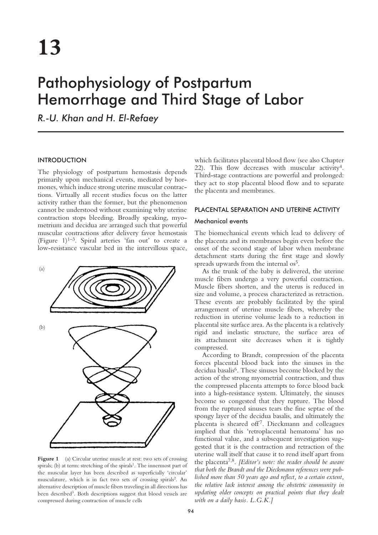# Pathophysiology of Postpartum Hemorrhage and Third Stage of Labor

*R.-U. Khan and H. El-Refaey*

## INTRODUCTION

The physiology of postpartum hemostasis depends primarily upon mechanical events, mediated by hormones, which induce strong uterine muscular contractions. Virtually all recent studies focus on the latter activity rather than the former, but the phenomenon cannot be understood without examining why uterine contraction stops bleeding. Broadly speaking, myometrium and decidua are arranged such that powerful muscular contractions after delivery favor hemostasis (Figure  $1$ )<sup>1–3</sup>. Spiral arteries 'fan out' to create a low-resistance vascular bed in the intervillous space,



Figure 1 (a) Circular uterine muscle at rest: two sets of crossing spirals; (b) at term: stretching of the spirals<sup>1</sup>. The innermost part of the muscular layer has been described as superficially 'circular' musculature, which is in fact two sets of crossing spirals<sup>2</sup>. An alternative description of muscle fibers traveling in all directions has been described<sup>3</sup>. Both descriptions suggest that blood vessels are compressed during contraction of muscle cells

which facilitates placental blood flow (see also Chapter 22). This flow decreases with muscular activity<sup>4</sup>. Third-stage contractions are powerful and prolonged: they act to stop placental blood flow and to separate the placenta and membranes.

## PLACENTAL SEPARATION AND UTERINE ACTIVITY

## Mechanical events

The biomechanical events which lead to delivery of the placenta and its membranes begin even before the onset of the second stage of labor when membrane detachment starts during the first stage and slowly spreads upwards from the internal os<sup>5</sup>.

As the trunk of the baby is delivered, the uterine muscle fibers undergo a very powerful contraction. Muscle fibers shorten, and the uterus is reduced in size and volume, a process characterized as retraction. These events are probably facilitated by the spiral arrangement of uterine muscle fibers, whereby the reduction in uterine volume leads to a reduction in placental site surface area. As the placenta is a relatively rigid and inelastic structure, the surface area of its attachment site decreases when it is tightly compressed.

According to Brandt, compression of the placenta forces placental blood back into the sinuses in the decidua basalis6. These sinuses become blocked by the action of the strong myometrial contraction, and thus the compressed placenta attempts to force blood back into a high-resistance system. Ultimately, the sinuses become so congested that they rupture. The blood from the ruptured sinuses tears the fine septae of the spongy layer of the decidua basalis, and ultimately the placenta is sheared off<sup>7</sup>. Dieckmann and colleagues implied that this 'retroplacental hematoma' has no functional value, and a subsequent investigation suggested that it is the contraction and retraction of the uterine wall itself that cause it to rend itself apart from the placenta7,8. *[Editor's note: the reader should be aware that both the Brandt and the Dieckmann references were published more than 50 years ago and reflect, to a certain extent, the relative lack interest among the obstetric community in updating older concepts on practical points that they dealt with on a daily basis. L.G.K.]*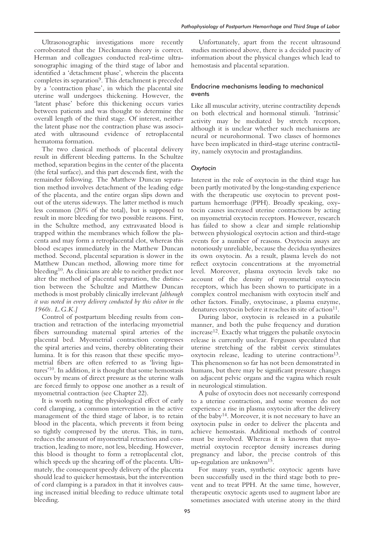Ultrasonographic investigations more recently corroborated that the Dieckmann theory is correct. Herman and colleagues conducted real-time ultrasonographic imaging of the third stage of labor and identified a 'detachment phase', wherein the placenta completes its separation<sup>9</sup>. This detachment is preceded by a 'contraction phase', in which the placental site uterine wall undergoes thickening. However, the 'latent phase' before this thickening occurs varies between patients and was thought to determine the overall length of the third stage. Of interest, neither the latent phase nor the contraction phase was associated with ultrasound evidence of retroplacental hematoma formation.

The two classical methods of placental delivery result in different bleeding patterns. In the Schultze method, separation begins in the center of the placenta (the fetal surface), and this part descends first, with the remainder following. The Matthew Duncan separation method involves detachment of the leading edge of the placenta, and the entire organ slips down and out of the uterus sideways. The latter method is much less common (20% of the total), but is supposed to result in more bleeding for two possible reasons. First, in the Schultze method, any extravasated blood is trapped within the membranes which follow the placenta and may form a retroplacental clot, whereas this blood escapes immediately in the Matthew Duncan method. Second, placental separation is slower in the Matthew Duncan method, allowing more time for bleeding<sup>10</sup>. As clinicians are able to neither predict nor alter the method of placental separation, the distinction between the Schultze and Matthew Duncan methods is most probably clinically irrelevant *[although it was noted in every delivery conducted by this editor in the 1960s. L.G.K.]*

Control of postpartum bleeding results from contraction and retraction of the interlacing myometrial fibers surrounding maternal spiral arteries of the placental bed. Myometrial contraction compresses the spiral arteries and veins, thereby obliterating their lumina. It is for this reason that these specific myometrial fibers are often referred to as 'living ligatures'10. In addition, it is thought that some hemostasis occurs by means of direct pressure as the uterine walls are forced firmly to oppose one another as a result of myometrial contraction (see Chapter 22).

It is worth noting the physiological effect of early cord clamping, a common intervention in the active management of the third stage of labor, is to retain blood in the placenta, which prevents it from being so tightly compressed by the uterus. This, in turn, reduces the amount of myometrial retraction and contraction, leading to more, not less, bleeding. However, this blood is thought to form a retroplacental clot, which speeds up the shearing off of the placenta. Ultimately, the consequent speedy delivery of the placenta should lead to quicker hemostasis, but the intervention of cord clamping is a paradox in that it involves causing increased initial bleeding to reduce ultimate total bleeding.

Unfortunately, apart from the recent ultrasound studies mentioned above, there is a decided paucity of information about the physical changes which lead to hemostasis and placental separation.

# Endocrine mechanisms leading to mechanical events

Like all muscular activity, uterine contractility depends on both electrical and hormonal stimuli. 'Intrinsic' activity may be mediated by stretch receptors, although it is unclear whether such mechanisms are neural or neurohormonal. Two classes of hormones have been implicated in third-stage uterine contractility, namely oxytocin and prostaglandins.

## *Oxytocin*

Interest in the role of oxytocin in the third stage has been partly motivated by the long-standing experience with the therapeutic use oxytocin to prevent postpartum hemorrhage (PPH). Broadly speaking, oxytocin causes increased uterine contractions by acting on myometrial oxytocin receptors. However, research has failed to show a clear and simple relationship between physiological oxytocin action and third-stage events for a number of reasons. Oxytocin assays are notoriously unreliable, because the decidua synthesizes its own oxytocin. As a result, plasma levels do not reflect oxytocin concentrations at the myometrial level. Moreover, plasma oxytocin levels take no account of the density of myometrial oxytocin receptors, which has been shown to participate in a complex control mechanism with oxytocin itself and other factors. Finally, oxytocinase, a plasma enzyme, denatures oxytocin before it reaches its site of action<sup>11</sup>.

During labor, oxytocin is released in a pulsatile manner, and both the pulse frequency and duration increase12. Exactly what triggers the pulsatile oxytocin release is currently unclear. Ferguson speculated that uterine stretching of the rabbit cervix stimulates oxytocin release, leading to uterine contractions<sup>13</sup>. This phenomenon so far has not been demonstrated in humans, but there may be significant pressure changes on adjacent pelvic organs and the vagina which result in neurological stimulation.

A pulse of oxytocin does not necessarily correspond to a uterine contraction, and some women do not experience a rise in plasma oxytocin after the delivery of the baby14. Moreover, it is not necessary to have an oxytocin pulse in order to deliver the placenta and achieve hemostasis. Additional methods of control must be involved. Whereas it is known that myometrial oxytocin receptor density increases during pregnancy and labor, the precise controls of this up-regulation are unknown15.

For many years, synthetic oxytocic agents have been successfully used in the third stage both to prevent and to treat PPH. At the same time, however, therapeutic oxytocic agents used to augment labor are sometimes associated with uterine atony in the third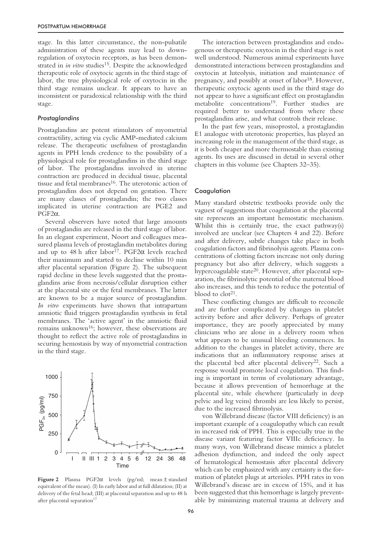stage. In this latter circumstance, the non-pulsatile administration of these agents may lead to downregulation of oxytocin receptors, as has been demonstrated in *in vitro* studies<sup>15</sup>. Despite the acknowledged therapeutic role of oxytocic agents in the third stage of labor, the true physiological role of oxytocin in the third stage remains unclear. It appears to have an inconsistent or paradoxical relationship with the third stage.

#### *Prostaglandins*

Prostaglandins are potent stimulators of myometrial contractility, acting via cyclic AMP-mediated calcium release. The therapeutic usefulness of prostaglandin agents in PPH lends credence to the possibility of a physiological role for prostaglandins in the third stage of labor. The prostaglandins involved in uterine contraction are produced in decidual tissue, placental tissue and fetal membranes<sup>16</sup>. The uterotonic action of prostaglandins does not depend on gestation. There are many classes of prostaglandin; the two classes implicated in uterine contraction are PGE2 and  $PGF2\alpha$ .

Several observers have noted that large amounts of prostaglandin are released in the third stage of labor. In an elegant experiment, Noort and colleagues measured plasma levels of prostaglandin metabolites during and up to 48 h after labor<sup>17</sup>. PGF2 $\alpha$  levels reached their maximum and started to decline within 10 min after placental separation (Figure 2). The subsequent rapid decline in these levels suggested that the prostaglandins arise from necrosis/cellular disruption either at the placental site or the fetal membranes. The latter are known to be a major source of prostaglandins. *In vitro* experiments have shown that intrapartum amniotic fluid triggers prostaglandin synthesis in fetal membranes. The 'active agent' in the amniotic fluid remains unknown16; however, these observations are thought to reflect the active role of prostaglandins in securing hemostasis by way of myometrial contraction in the third stage.



**Figure 2** Plasma PGF2α levels (pg/ml; mean ± standard equivalent of the mean). (I) In early labor and at full dilatation; (II) at delivery of the fetal head; (III) at placental separation and up to 48 h after placental separation<sup>17</sup>

The interaction between prostaglandins and endogenous or therapeutic oxytocin in the third stage is not well understood. Numerous animal experiments have demonstrated interactions between prostaglandins and oxytocin at luteolysis, initiation and maintenance of pregnancy, and possibly at onset of labor<sup>18</sup>. However, therapeutic oxytocic agents used in the third stage do not appear to have a significant effect on prostaglandin metabolite concentrations<sup>19</sup>. Further studies are required better to understand from where these prostaglandins arise, and what controls their release.

In the past few years, misoprostol, a prostaglandin E1 analogue with uterotonic properties, has played an increasing role in the management of the third stage, as it is both cheaper and more thermostable than existing agents. Its uses are discussed in detail in several other chapters in this volume (see Chapters 32–35).

### **Coagulation**

Many standard obstetric textbooks provide only the vaguest of suggestions that coagulation at the placental site represents an important hemostatic mechanism. Whilst this is certainly true, the exact pathway(s) involved are unclear (see Chapters 4 and 22). Before and after delivery, subtle changes take place in both coagulation factors and fibrinolysis agents. Plasma concentrations of clotting factors increase not only during pregnancy but also after delivery, which suggests a hypercoagulable state<sup>20</sup>. However, after placental separation, the fibrinolytic potential of the maternal blood also increases, and this tends to reduce the potential of blood to  $\text{clot}^{21}$ .

These conflicting changes are difficult to reconcile and are further complicated by changes in platelet activity before and after delivery. Perhaps of greater importance, they are poorly appreciated by many clinicians who are alone in a delivery room when what appears to be unusual bleeding commences. In addition to the changes in platelet activity, there are indications that an inflammatory response arises at the placental bed after placental delivery<sup>22</sup>. Such a response would promote local coagulation. This finding is important in terms of evolutionary advantage, because it allows prevention of hemorrhage at the placental site, while elsewhere (particularly in deep pelvic and leg veins) thrombi are less likely to persist, due to the increased fibrinolysis.

von Willebrand disease (factor VIII deficiency) is an important example of a coagulopathy which can result in increased risk of PPH. This is especially true in the disease variant featuring factor VIIIc deficiency. In many ways, von Willebrand disease mimics a platelet adhesion dysfunction, and indeed the only aspect of hematological hemostasis after placental delivery which can be emphasized with any certainty is the formation of platelet plugs at arterioles. PPH rates in von Willebrand's disease are in excess of 15%, and it has been suggested that this hemorrhage is largely preventable by minimizing maternal trauma at delivery and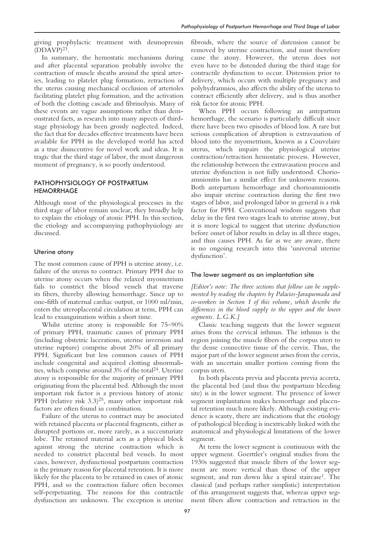giving prophylactic treatment with desmopressin  $(DDAVP)^{23}$ .

In summary, the hemostatic mechanisms during and after placental separation probably involve the contraction of muscle sheaths around the spiral arteries, leading to platelet plug formation, retraction of the uterus causing mechanical occlusion of arterioles facilitating platelet plug formation, and the activation of both the clotting cascade and fibrinolysis. Many of these events are vague assumptions rather than demonstrated facts, as research into many aspects of thirdstage physiology has been grossly neglected. Indeed, the fact that for decades effective treatments have been available for PPH in the developed world has acted as a true disincentive for novel work and ideas. It is tragic that the third stage of labor, the most dangerous moment of pregnancy, is so poorly understood.

# PATHOPHYSIOLOGY OF POSTPARTUM **HEMORRHAGE**

Although most of the physiological processes in the third stage of labor remain unclear, they broadly help to explain the etiology of atonic PPH. In this section, the etiology and accompanying pathophysiology are discussed.

#### Uterine atony

The most common cause of PPH is uterine atony, i.e. failure of the uterus to contract. Primary PPH due to uterine atony occurs when the relaxed myometrium fails to constrict the blood vessels that traverse its fibers, thereby allowing hemorrhage. Since up to one-fifth of maternal cardiac output, or 1000 ml/min, enters the uteroplacental circulation at term, PPH can lead to exsanguination within a short time.

Whilst uterine atony is responsible for 75–90% of primary PPH, traumatic causes of primary PPH (including obstetric lacerations, uterine inversion and uterine rupture) comprise about 20% of all primary PPH. Significant but less common causes of PPH include congenital and acquired clotting abnormalities, which comprise around 3% of the total24. Uterine atony is responsible for the majority of primary PPH originating from the placental bed. Although the most important risk factor is a previous history of atonic PPH (relative risk  $(3.3)^{25}$ , many other important risk factors are often found in combination.

Failure of the uterus to contract may be associated with retained placenta or placental fragments, either as disrupted portions or, more rarely, as a succenturiate lobe. The retained material acts as a physical block against strong the uterine contraction which is needed to constrict placental bed vessels. In most cases, however, dysfunctional postpartum contraction is the primary reason for placental retention. It is more likely for the placenta to be retained in cases of atonic PPH, and so the contraction failure often becomes self-perpetuating. The reasons for this contractile dysfunction are unknown. The exception is uterine

fibroids, where the source of distension cannot be removed by uterine contraction, and must therefore cause the atony. However, the uterus does not even have to be distended during the third stage for contractile dysfunction to occur. Distension prior to delivery, which occurs with multiple pregnancy and polyhydramnios, also affects the ability of the uterus to contract efficiently after delivery, and is thus another risk factor for atonic PPH.

When PPH occurs following an antepartum hemorrhage, the scenario is particularly difficult since there have been two episodes of blood loss. A rare but serious complication of abruption is extravasation of blood into the myometrium, known as a Couvelaire uterus, which impairs the physiological uterine contraction/retraction hemostatic process. However, the relationship between the extravasation process and uterine dysfunction is not fully understood. Chorioamnionitis has a similar effect for unknown reasons. Both antepartum hemorrhage and chorioamnionitis also impair uterine contraction during the first two stages of labor, and prolonged labor in general is a risk factor for PPH. Conventional wisdom suggests that delay in the first two stages leads to uterine atony, but it is more logical to suggest that uterine dysfunction before onset of labor results in delay in all three stages, and thus causes PPH. As far as we are aware, there is no ongoing research into this 'universal uterine dysfunction'.

#### The lower segment as an implantation site

*[Editor's note: The three sections that follow can be supplemented by reading the chapters by Palacios-Jaraquemada and co-workers in Section 1 of this volume, which describe the differences in the blood supply to the upper and the lower segments. L.G.K.]*

Classic teaching suggests that the lower segment arises from the cervical isthmus. The isthmus is the region joining the muscle fibers of the corpus uteri to the dense connective tissue of the cervix. Thus, the major part of the lower segment arises from the cervix, with an uncertain smaller portion coming from the corpus uteri.

In both placenta previa and placenta previa accreta, the placental bed (and thus the postpartum bleeding site) is in the lower segment. The presence of lower segment implantation makes hemorrhage and placental retention much more likely. Although existing evidence is scanty, there are indications that the etiology of pathological bleeding is inextricably linked with the anatomical and physiological limitations of the lower segment.

At term the lower segment is continuous with the upper segment. Goerttler's original studies from the 1930s suggested that muscle fibers of the lower segment are more vertical than those of the upper segment, and run down like a spiral staircase<sup>1</sup>. The classical (and perhaps rather simplistic) interpretation of this arrangement suggests that, whereas upper segment fibers allow contraction and retraction in the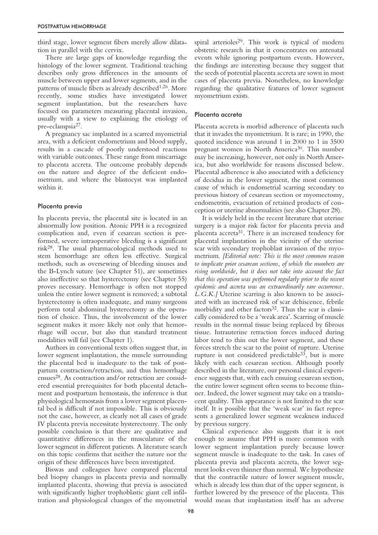third stage, lower segment fibers merely allow dilatation in parallel with the cervix.

There are large gaps of knowledge regarding the histology of the lower segment. Traditional teaching describes only gross differences in the amounts of muscle between upper and lower segments, and in the patterns of muscle fibers as already described<sup>1,26</sup>. More recently, some studies have investigated lower segment implantation, but the researchers have focused on parameters measuring placental invasion, usually with a view to explaining the etiology of pre-eclampsia27.

A pregnancy sac implanted in a scarred myometrial area, with a deficient endometrium and blood supply, results in a cascade of poorly understood reactions with variable outcomes. These range from miscarriage to placenta accreta. The outcome probably depends on the nature and degree of the deficient endometrium, and where the blastocyst was implanted within it.

## Placenta previa

In placenta previa, the placental site is located in an abnormally low position. Atonic PPH is a recognized complication and, even if cesarean section is performed, severe intraoperative bleeding is a significant risk28. The usual pharmacological methods used to stem hemorrhage are often less effective. Surgical methods, such as oversewing of bleeding sinuses and the B-Lynch suture (see Chapter 51), are sometimes also ineffective so that hysterectomy (see Chapter 55) proves necessary. Hemorrhage is often not stopped unless the entire lower segment is removed; a subtotal hysterectomy is often inadequate, and many surgeons perform total abdominal hysterectomy as the operation of choice. Thus, the involvement of the lower segment makes it more likely not only that hemorrhage will occur, but also that standard treatment modalities will fail (see Chapter 1).

Authors in conventional texts often suggest that, in lower segment implantation, the muscle surrounding the placental bed is inadequate to the task of postpartum contraction/retraction, and thus hemorrhage ensues28. As contraction and/or retraction are considered essential prerequisites for both placental detachment and postpartum hemostasis, the inference is that physiological hemostasis from a lower segment placental bed is difficult if not impossible. This is obviously not the case, however, as clearly not all cases of grade IV placenta previa necessitate hysterectomy. The only possible conclusion is that there are qualitative and quantitative differences in the musculature of the lower segment in different patients. A literature search on this topic confirms that neither the nature nor the origin of these differences have been investigated.

Biswas and colleagues have compared placental bed biopsy changes in placenta previa and normally implanted placenta, showing that previa is associated with significantly higher trophoblastic giant cell infiltration and physiological changes of the myometrial spiral arterioles<sup>29</sup>. This work is typical of modern obstetric research in that it concentrates on antenatal events while ignoring postpartum events. However, the findings are interesting because they suggest that the seeds of potential placenta accreta are sown in most cases of placenta previa. Nonetheless, no knowledge regarding the qualitative features of lower segment myometrium exists.

#### Placenta accreta

Placenta accreta is morbid adherence of placenta such that it invades the myometrium. It is rare; in 1990, the quoted incidence was around 1 in 2000 to 1 in 3500 pregnant women in North America30. This number may be increasing, however, not only in North America, but also worldwide for reasons discussed below. Placental adherence is also associated with a deficiency of decidua in the lower segment, the most common cause of which is endometrial scarring secondary to previous history of cesarean section or myomectomy, endometritis, evacuation of retained products of conception or uterine abnormalities (see also Chapter 28).

It is widely held in the recent literature that uterine surgery is a major risk factor for placenta previa and placenta accreta $31$ . There is an increased tendency for placental implantation in the vicinity of the uterine scar with secondary trophoblast invasion of the myometrium. *[Editorial note: This is the most common reason to implicate prior cesarean sections, of which the numbers are rising worldwide, but it does not take into account the fact that this operation was performed regularly prior to the recent epidemic and accreta was an extraordinarily rare occurrence. L.G.K.]* Uterine scarring is also known to be associated with an increased risk of scar dehiscence, febrile morbidity and other factors<sup>32</sup>. Thus the scar is classically considered to be a 'weak area'. Scarring of muscle results in the normal tissue being replaced by fibrous tissue. Intrauterine retraction forces induced during labor tend to thin out the lower segment, and these forces stretch the scar to the point of rupture. Uterine rupture is not considered predictable<sup>33</sup>, but is more likely with each cesarean section. Although poorly described in the literature, our personal clinical experience suggests that, with each ensuing cesarean section, the entire lower segment often seems to become thinner. Indeed, the lower segment may take on a translucent quality. This appearance is not limited to the scar itself. It is possible that the 'weak scar' in fact represents a generalized lower segment weakness induced by previous surgery.

Clinical experience also suggests that it is not enough to assume that PPH is more common with lower segment implantation purely because lower segment muscle is inadequate to the task. In cases of placenta previa and placenta accreta, the lower segment looks even thinner than normal. We hypothesize that the contractile nature of lower segment muscle, which is already less than that of the upper segment, is further lowered by the presence of the placenta. This would mean that implantation itself has an adverse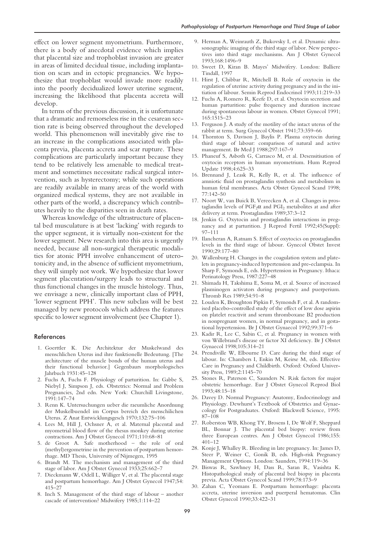effect on lower segment myometrium. Furthermore, there is a body of anecdotal evidence which implies that placental size and trophoblast invasion are greater in areas of limited decidual tissue, including implantation on scars and in ectopic pregnancies. We hypothesize that trophoblast would invade more readily into the poorly decidualized lower uterine segment, increasing the likelihood that placenta accreta will develop.

In terms of the previous discussion, it is unfortunate that a dramatic and remorseless rise in the cesarean section rate is being observed throughout the developed world. This phenomenon will inevitably give rise to an increase in the complications associated with placenta previa, placenta accreta and scar rupture. These complications are particularly important because they tend to be relatively less amenable to medical treatment and sometimes necessitate radical surgical intervention, such as hysterectomy; while such operations are readily available in many areas of the world with organized medical systems, they are not available in other parts of the world, a discrepancy which contributes heavily to the disparities seen in death rates.

Whereas knowledge of the ultrastructure of placental bed musculature is at best 'lacking' with regards to the upper segment, it is virtually non-existent for the lower segment. New research into this area is urgently needed, because all non-surgical therapeutic modalities for atonic PPH involve enhancement of uterotonicity and, in the absence of sufficient myometrium, they will simply not work. We hypothesize that lower segment placentation/surgery leads to structural and thus functional changes in the muscle histology. Thus, we envisage a new, clinically important class of PPH, 'lower segment PPH'. This new subclass will be best managed by new protocols which address the features specific to lower segment involvement (see Chapter 1).

#### References

- 1. Goerttler K. Die Architektur der Muskelwand des menschlichen Uterus ind ihre funktionelle Bedeutung. [The architecture of the muscle bonds of the human uterus and their functional behavior.] Gegenbaurs morphologisches Jahrbuch 1931:45–128
- 2. Fuchs A, Fuchs F. Physiology of parturition. In: Gabbe S, Niebyl J, Simpson J, eds. Obstetrics: Normal and Problem Pregnancies, 2nd edn. New York: Churchill Livingstone, 1991:147–74
- 3. Renn K. Untersuchungen ueber die raeumliche Anordnung der Muskelbuendel im Corpus bereich des menschilichen Uterus. Z Anat Entwicklungsgesch 1970;132:75–106
- 4. Lees M, Hill J, Ochsner A, et al. Maternal placental and myometrial blood flow of the rhesus monkey during uterine contractions. Am J Obstet Gynecol 1971;110:68–81
- 5. de Groot A. Safe motherhood the role of oral (methyl)ergometrine in the prevention of postpartum hemorrhage. MD Thesis, University of Nijmegen, 1995
- 6. Brandt M. The mechanism and management of the third stage of labor. Am J Obstet Gynecol 1933;25:662–7
- 7. Dieckmann W, Odell L, Williger V, et al. The placental stage and postpartum hemorrhage. Am J Obstet Gynecol 1947;54: 415–27
- 8. Inch S. Management of the third stage of labour another cascade of intervention? Midwifery 1985;1:114–22
- 9. Herman A, Weinrauth Z, Bukovsky I, et al. Dynamic ultrasonographic imaging of the third stage of labor. New perspectives into third stage mechanisms. Am J Obstet Gynecol 1993;168:1496–9
- 10. Sweet D, Kiran B. Mayes' Midwifery. London: Balliere Tindall, 1997
- 11. Hirst J, Chibbar R, Mitchell B. Role of oxytocin in the regulation of uterine activity during pregnancy and in the initiation of labour. Semin Reprod Endocrinol 1993;11:219–33
- 12. Fuchs A, Romero R, Keefe D, et al. Oxytocin secretion and human parturition: pulse frequency and duration increase during spontaneous labour in women. Obstet Gynecol 1991; 165:1515–23
- 13. Ferguson J. A study of the motility of the intact uterus of the rabbit at term. Surg Gynecol Obstet 1941;73:359–66
- 14. Thornton S, Davison J, Baylis P. Plasma oxytocin during third stage of labour: comparison of natural and active management. Br Med J 1988;297:167–9
- 15. Phaneuf S, Asboth G, Carrasco M, et al. Desensitisation of oxytocin receptors in human myometrium. Hum Reprod Update 1998;4:625–33
- 16. Brennand J, Leask R, Kelly R, et al. The influence of amniotic fluid on prostaglandin synthesis and metabolism in human fetal membranes. Acta Obstet Gynecol Scand 1998; 77:142–50
- 17. Noort W, van Buick B, Vereecken A, et al. Changes in prostaglandin levels of  $PGF<sub>2</sub>α$  and  $PGI<sub>2</sub>$  metabolites at and after delivery at term. Prostaglandins 1989;37:3–12
- 18. Jenkin G. Oxytocin and prostaglandin interactions in pregnancy and at parturition. J Reprod Fertil 1992;45(Suppl): 97–111
- 19. Ilancheran A, Ratnam S. Effect of oxytocics on prostaglandin levels in the third stage of labour. Gynecol Obstet Invest 1990;29:177–80
- 20. Wallenburg H. Changes in the coagulation system and platelets in pregnancy-induced hypertension and pre-eclampsia. In Sharp F, Symonds E, eds. Hypertension in Pregnancy. Ithaca: Perinatology Press, 1987:227–48
- 21. Shimada H, Takshima E, Soma M, et al. Source of increased plasminogen activators during pregnancy and puerperium. Thromb Res 1989;54:91–8
- 22. Louden K, Broughton Pipkin F, Symonds F, et al. A randomised placebo-controlled study of the effect of low dose aspirin on platelet reactivit and serum thromboxane B2 production in nonpregnant women, in normal pregnancy, and in gestational hypertension. Br J Obstet Gynaecol 1992;99:371–6
- 23. Kadir R, Lee C, Sabin C, et al. Pregnancy in women with von Willebrand's disease or factor XI deficiency. Br J Obstet Gynaecol 1998;105:314–21
- 24. Prendiville W, Elbourne D. Care during the third stage of labour. In: Chambers I, Enkin M, Keirse M, eds. Effective Care in Pregnancy and Childbirth. Oxford: Oxford University Press, 1989;2:1145–70
- 25. Stones R, Paterson C, Saunders N. Risk factors for major obstetric hemorrhage. Eur J Obstet Gynecol Reprod Biol 1993;48:15–18
- 26. Davey D. Normal Pregnancy: Anatomy, Endocrinology and Physiology. Dewhurst's Textbook of Obstetrics and Gynaecology for Postgraduates. Oxford: Blackwell Science, 1995: 87–108
- 27. Roberston WB, Khong TY, Brosens I, De Wolf F, Sheppard BL, Bonnar J. The placental bed biopsy: review from three European centres. Am J Obstet Gynecol 1986;155: 401–12
- 28. Konje J, Whalley R. Bleeding in late pregnancy. In: James D, Steer P, Weiner C, Gonik B, eds. High-risk Pregnancy Management Options. London: Saunders, 1994:119–36
- 29. Biswas R, Sawhney H, Dass R, Saran R, Vasishta K. Histopathological study of placental bed biopsy in placenta previa. Acta Obstet Gynecol Scand 1999;78:173–9
- 30. Zahan C, Yeomans E. Postpartum hemorrhage: placenta accreta, uterine inversion and puerperal hematomas. Clin Obstet Gynecol 1990;33:422–31